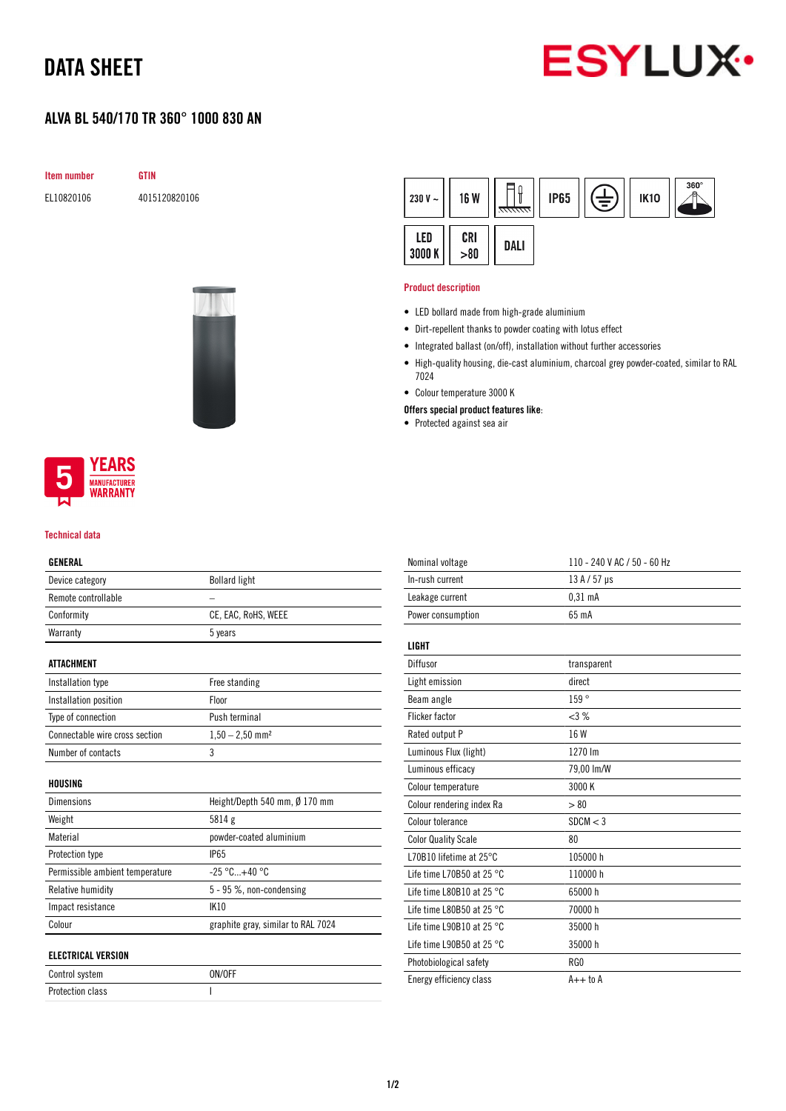## DATA SHEET



### ALVA BL 540/170 TR 360° 1000 830 AN

**GTIN** 

| <b>Item number</b> |
|--------------------|
|                    |

EL10820106 4015120820106



#### $360^\circ$ ∏i (三) **IP65** 230 V  $\sim$ **16 W IK10** LED CRI DALI 3000 K  $> 80$

#### Product description

- LED bollard made from high-grade aluminium
- Dirt-repellent thanks to powder coating with lotus effect
- Integrated ballast (on/off), installation without further accessories
- High-quality housing, die-cast aluminium, charcoal grey powder-coated, similar to RAL 7024
- Colour temperature 3000 K
- Offers special product features like:
- Protected against sea air

![](_page_0_Picture_16.jpeg)

#### Technical data

### GENERAL

| Device category                 | <b>Bollard light</b>               |
|---------------------------------|------------------------------------|
| Remote controllable             |                                    |
| Conformity                      | CE, EAC, RoHS, WEEE                |
| Warranty                        | 5 years                            |
|                                 |                                    |
| <b>ATTACHMENT</b>               |                                    |
| Installation type               | Free standing                      |
| Installation position           | Floor                              |
| Type of connection              | Push terminal                      |
| Connectable wire cross section  | $1,50 - 2,50$ mm <sup>2</sup>      |
| Number of contacts              | 3                                  |
|                                 |                                    |
| HOUSING                         |                                    |
| <b>Dimensions</b>               | Height/Depth 540 mm, Ø 170 mm      |
| Weight                          | 5814 g                             |
| Material                        | powder-coated aluminium            |
| Protection type                 | <b>IP65</b>                        |
| Permissible ambient temperature | $-25 °C+40 °C$                     |
| Relative humidity               | 5 - 95 %, non-condensing           |
| Impact resistance               | <b>IK10</b>                        |
| Colour                          | graphite gray, similar to RAL 7024 |
|                                 |                                    |
| <b>ELECTRICAL VERSION</b>       |                                    |
| Control system                  | ON/OFF                             |
| <b>Protection class</b>         | L                                  |

| Nominal voltage                     | 110 - 240 V AC / 50 - 60 Hz |
|-------------------------------------|-----------------------------|
| In-rush current                     | $13A/57$ µs                 |
| Leakage current                     | 0.31 <sub>m</sub> A         |
| Power consumption                   | 65 mA                       |
|                                     |                             |
| <b>LIGHT</b>                        |                             |
| Diffusor                            | transparent                 |
| Light emission                      | direct                      |
| Beam angle                          | 159°                        |
| <b>Flicker factor</b>               | <3%                         |
| Rated output P                      | 16 W                        |
| Luminous Flux (light)               | 1270 lm                     |
| Luminous efficacy                   | 79,00 lm/W                  |
| Colour temperature                  | 3000 K                      |
| Colour rendering index Ra           | > 80                        |
| Colour tolerance                    | SDCM < 3                    |
| <b>Color Quality Scale</b>          | 80                          |
| L70B10 lifetime at 25°C             | 105000 h                    |
| Life time L70B50 at 25 $^{\circ}$ C | 110000h                     |
| Life time L80B10 at 25 $^{\circ}$ C | 65000h                      |
| Life time L80B50 at 25 $^{\circ}$ C | 70000 h                     |
| Life time L90B10 at 25 $^{\circ}$ C | 35000h                      |
| Life time L90B50 at 25 $^{\circ}$ C | 35000 h                     |
| Photobiological safety              | RG0                         |
| Energy efficiency class             | $A++$ to $A$                |
|                                     |                             |